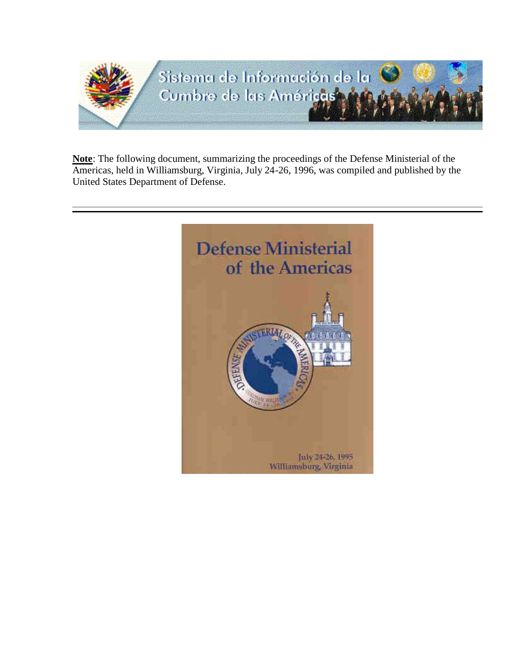

**Note**: The following document, summarizing the proceedings of the Defense Ministerial of the Americas, held in Williamsburg, Virginia, July 24-26, 1996, was compiled and published by the United States Department of Defense.

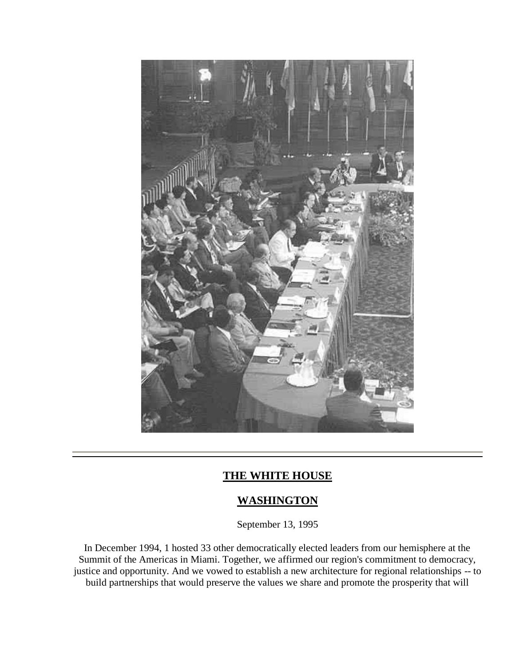

## **THE WHITE HOUSE**

## **WASHINGTON**

September 13, 1995

In December 1994, 1 hosted 33 other democratically elected leaders from our hemisphere at the Summit of the Americas in Miami. Together, we affirmed our region's commitment to democracy, justice and opportunity. And we vowed to establish a new architecture for regional relationships -- to build partnerships that would preserve the values we share and promote the prosperity that will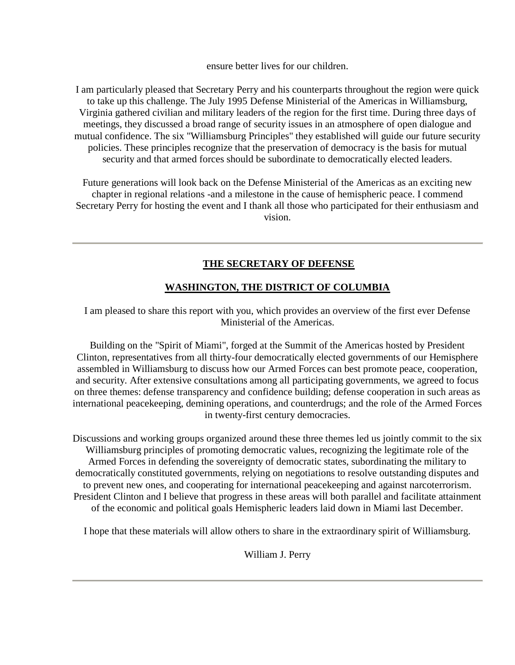ensure better lives for our children.

I am particularly pleased that Secretary Perry and his counterparts throughout the region were quick to take up this challenge. The July 1995 Defense Ministerial of the Americas in Williamsburg, Virginia gathered civilian and military leaders of the region for the first time. During three days of meetings, they discussed a broad range of security issues in an atmosphere of open dialogue and mutual confidence. The six "Williamsburg Principles" they established will guide our future security policies. These principles recognize that the preservation of democracy is the basis for mutual security and that armed forces should be subordinate to democratically elected leaders.

Future generations will look back on the Defense Ministerial of the Americas as an exciting new chapter in regional relations -and a milestone in the cause of hemispheric peace. I commend Secretary Perry for hosting the event and I thank all those who participated for their enthusiasm and vision.

## **THE SECRETARY OF DEFENSE**

### **WASHINGTON, THE DISTRICT OF COLUMBIA**

I am pleased to share this report with you, which provides an overview of the first ever Defense Ministerial of the Americas.

Building on the "Spirit of Miami", forged at the Summit of the Americas hosted by President Clinton, representatives from all thirty-four democratically elected governments of our Hemisphere assembled in Williamsburg to discuss how our Armed Forces can best promote peace, cooperation, and security. After extensive consultations among all participating governments, we agreed to focus on three themes: defense transparency and confidence building; defense cooperation in such areas as international peacekeeping, demining operations, and counterdrugs; and the role of the Armed Forces in twenty-first century democracies.

Discussions and working groups organized around these three themes led us jointly commit to the six Williamsburg principles of promoting democratic values, recognizing the legitimate role of the Armed Forces in defending the sovereignty of democratic states, subordinating the military to democratically constituted governments, relying on negotiations to resolve outstanding disputes and to prevent new ones, and cooperating for international peacekeeping and against narcoterrorism. President Clinton and I believe that progress in these areas will both parallel and facilitate attainment of the economic and political goals Hemispheric leaders laid down in Miami last December.

I hope that these materials will allow others to share in the extraordinary spirit of Williamsburg.

William J. Perry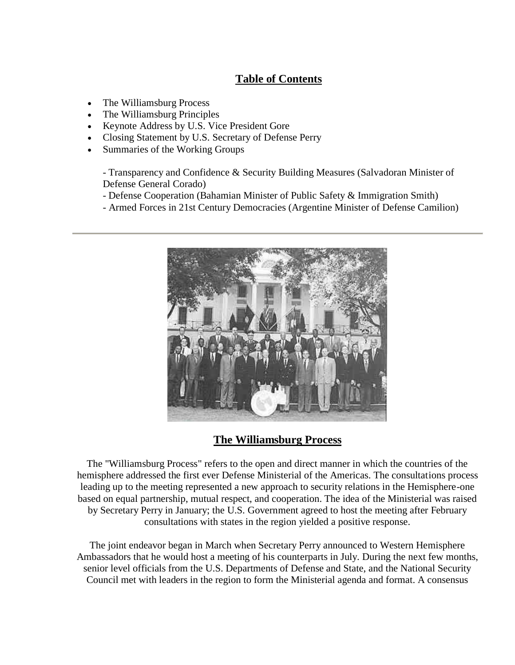## **Table of Contents**

- The Williamsburg Process
- The Williamsburg Principles
- Keynote Address by U.S. Vice President Gore
- Closing Statement by U.S. Secretary of Defense Perry
- Summaries of the Working Groups

- Transparency and Confidence & Security Building Measures (Salvadoran Minister of Defense General Corado)

- Defense Cooperation (Bahamian Minister of Public Safety & Immigration Smith)
- Armed Forces in 21st Century Democracies (Argentine Minister of Defense Camilion)



## **The Williamsburg Process**

The "Williamsburg Process" refers to the open and direct manner in which the countries of the hemisphere addressed the first ever Defense Ministerial of the Americas. The consultations process leading up to the meeting represented a new approach to security relations in the Hemisphere-one based on equal partnership, mutual respect, and cooperation. The idea of the Ministerial was raised by Secretary Perry in January; the U.S. Government agreed to host the meeting after February consultations with states in the region yielded a positive response.

The joint endeavor began in March when Secretary Perry announced to Western Hemisphere Ambassadors that he would host a meeting of his counterparts in July. During the next few months, senior level officials from the U.S. Departments of Defense and State, and the National Security Council met with leaders in the region to form the Ministerial agenda and format. A consensus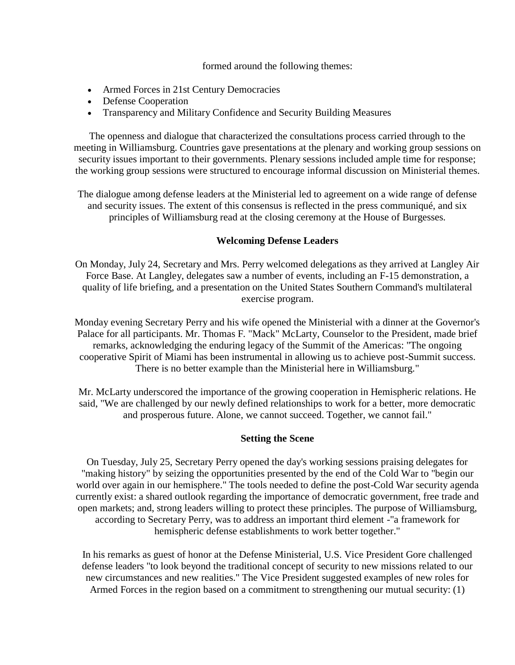#### formed around the following themes:

- Armed Forces in 21st Century Democracies
- Defense Cooperation
- Transparency and Military Confidence and Security Building Measures

The openness and dialogue that characterized the consultations process carried through to the meeting in Williamsburg. Countries gave presentations at the plenary and working group sessions on security issues important to their governments. Plenary sessions included ample time for response; the working group sessions were structured to encourage informal discussion on Ministerial themes.

The dialogue among defense leaders at the Ministerial led to agreement on a wide range of defense and security issues. The extent of this consensus is reflected in the press communiqué, and six principles of Williamsburg read at the closing ceremony at the House of Burgesses.

#### **Welcoming Defense Leaders**

On Monday, July 24, Secretary and Mrs. Perry welcomed delegations as they arrived at Langley Air Force Base. At Langley, delegates saw a number of events, including an F-15 demonstration, a quality of life briefing, and a presentation on the United States Southern Command's multilateral exercise program.

Monday evening Secretary Perry and his wife opened the Ministerial with a dinner at the Governor's Palace for all participants. Mr. Thomas F. "Mack" McLarty, Counselor to the President, made brief remarks, acknowledging the enduring legacy of the Summit of the Americas: "The ongoing cooperative Spirit of Miami has been instrumental in allowing us to achieve post-Summit success. There is no better example than the Ministerial here in Williamsburg."

Mr. McLarty underscored the importance of the growing cooperation in Hemispheric relations. He said, "We are challenged by our newly defined relationships to work for a better, more democratic and prosperous future. Alone, we cannot succeed. Together, we cannot fail."

#### **Setting the Scene**

On Tuesday, July 25, Secretary Perry opened the day's working sessions praising delegates for "making history" by seizing the opportunities presented by the end of the Cold War to "begin our world over again in our hemisphere." The tools needed to define the post-Cold War security agenda currently exist: a shared outlook regarding the importance of democratic government, free trade and open markets; and, strong leaders willing to protect these principles. The purpose of Williamsburg, according to Secretary Perry, was to address an important third element -"a framework for hemispheric defense establishments to work better together."

In his remarks as guest of honor at the Defense Ministerial, U.S. Vice President Gore challenged defense leaders "to look beyond the traditional concept of security to new missions related to our new circumstances and new realities." The Vice President suggested examples of new roles for Armed Forces in the region based on a commitment to strengthening our mutual security: (1)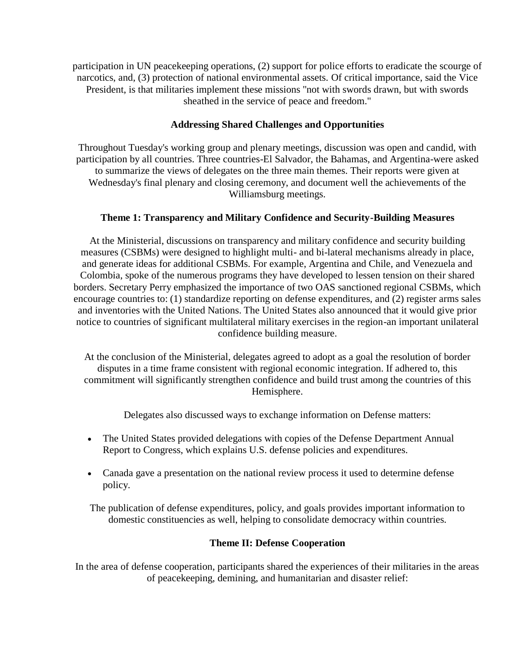participation in UN peacekeeping operations, (2) support for police efforts to eradicate the scourge of narcotics, and, (3) protection of national environmental assets. Of critical importance, said the Vice President, is that militaries implement these missions "not with swords drawn, but with swords sheathed in the service of peace and freedom."

### **Addressing Shared Challenges and Opportunities**

Throughout Tuesday's working group and plenary meetings, discussion was open and candid, with participation by all countries. Three countries-El Salvador, the Bahamas, and Argentina-were asked to summarize the views of delegates on the three main themes. Their reports were given at Wednesday's final plenary and closing ceremony, and document well the achievements of the Williamsburg meetings.

### **Theme 1: Transparency and Military Confidence and Security-Building Measures**

At the Ministerial, discussions on transparency and military confidence and security building measures (CSBMs) were designed to highlight multi- and bi-lateral mechanisms already in place, and generate ideas for additional CSBMs. For example, Argentina and Chile, and Venezuela and Colombia, spoke of the numerous programs they have developed to lessen tension on their shared borders. Secretary Perry emphasized the importance of two OAS sanctioned regional CSBMs, which encourage countries to: (1) standardize reporting on defense expenditures, and (2) register arms sales and inventories with the United Nations. The United States also announced that it would give prior notice to countries of significant multilateral military exercises in the region-an important unilateral confidence building measure.

At the conclusion of the Ministerial, delegates agreed to adopt as a goal the resolution of border disputes in a time frame consistent with regional economic integration. If adhered to, this commitment will significantly strengthen confidence and build trust among the countries of this Hemisphere.

Delegates also discussed ways to exchange information on Defense matters:

- The United States provided delegations with copies of the Defense Department Annual Report to Congress, which explains U.S. defense policies and expenditures.
- Canada gave a presentation on the national review process it used to determine defense policy.

The publication of defense expenditures, policy, and goals provides important information to domestic constituencies as well, helping to consolidate democracy within countries.

#### **Theme II: Defense Cooperation**

In the area of defense cooperation, participants shared the experiences of their militaries in the areas of peacekeeping, demining, and humanitarian and disaster relief: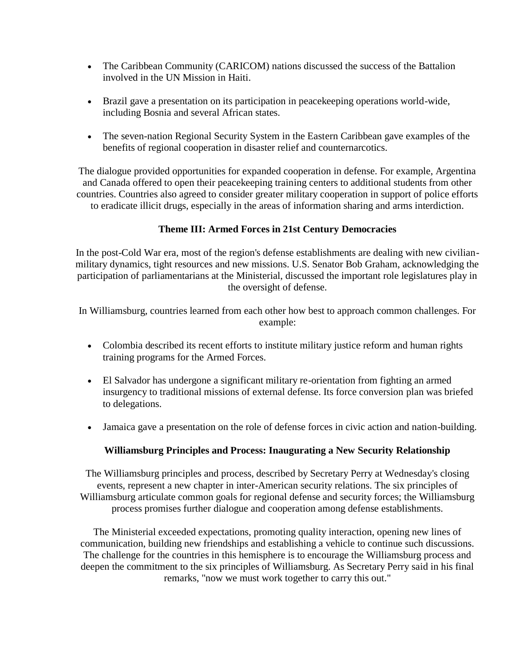- The Caribbean Community (CARICOM) nations discussed the success of the Battalion involved in the UN Mission in Haiti.
- Brazil gave a presentation on its participation in peacekeeping operations world-wide, including Bosnia and several African states.
- The seven-nation Regional Security System in the Eastern Caribbean gave examples of the benefits of regional cooperation in disaster relief and counternarcotics.

The dialogue provided opportunities for expanded cooperation in defense. For example, Argentina and Canada offered to open their peacekeeping training centers to additional students from other countries. Countries also agreed to consider greater military cooperation in support of police efforts to eradicate illicit drugs, especially in the areas of information sharing and arms interdiction.

## **Theme III: Armed Forces in 21st Century Democracies**

In the post-Cold War era, most of the region's defense establishments are dealing with new civilianmilitary dynamics, tight resources and new missions. U.S. Senator Bob Graham, acknowledging the participation of parliamentarians at the Ministerial, discussed the important role legislatures play in the oversight of defense.

In Williamsburg, countries learned from each other how best to approach common challenges. For example:

- Colombia described its recent efforts to institute military justice reform and human rights training programs for the Armed Forces.
- El Salvador has undergone a significant military re-orientation from fighting an armed insurgency to traditional missions of external defense. Its force conversion plan was briefed to delegations.
- Jamaica gave a presentation on the role of defense forces in civic action and nation-building.

### **Williamsburg Principles and Process: Inaugurating a New Security Relationship**

The Williamsburg principles and process, described by Secretary Perry at Wednesday's closing events, represent a new chapter in inter-American security relations. The six principles of Williamsburg articulate common goals for regional defense and security forces; the Williamsburg process promises further dialogue and cooperation among defense establishments.

The Ministerial exceeded expectations, promoting quality interaction, opening new lines of communication, building new friendships and establishing a vehicle to continue such discussions. The challenge for the countries in this hemisphere is to encourage the Williamsburg process and deepen the commitment to the six principles of Williamsburg. As Secretary Perry said in his final remarks, "now we must work together to carry this out."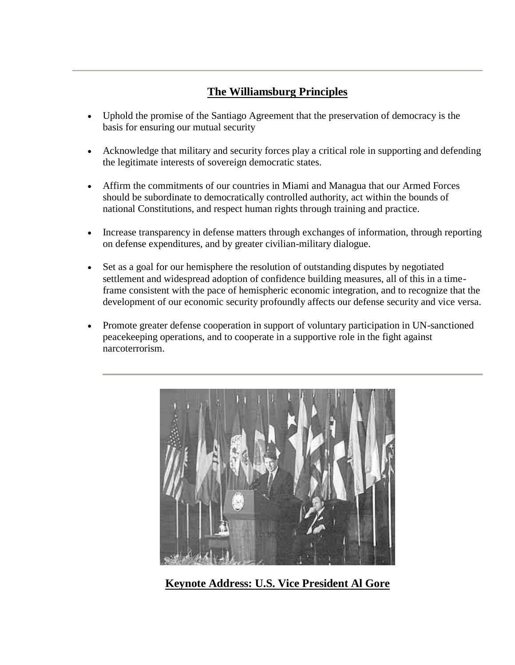# **The Williamsburg Principles**

- Uphold the promise of the Santiago Agreement that the preservation of democracy is the basis for ensuring our mutual security
- Acknowledge that military and security forces play a critical role in supporting and defending the legitimate interests of sovereign democratic states.
- Affirm the commitments of our countries in Miami and Managua that our Armed Forces should be subordinate to democratically controlled authority, act within the bounds of national Constitutions, and respect human rights through training and practice.
- Increase transparency in defense matters through exchanges of information, through reporting on defense expenditures, and by greater civilian-military dialogue.
- Set as a goal for our hemisphere the resolution of outstanding disputes by negotiated settlement and widespread adoption of confidence building measures, all of this in a timeframe consistent with the pace of hemispheric economic integration, and to recognize that the development of our economic security profoundly affects our defense security and vice versa.
- Promote greater defense cooperation in support of voluntary participation in UN-sanctioned peacekeeping operations, and to cooperate in a supportive role in the fight against narcoterrorism.



**Keynote Address: U.S. Vice President Al Gore**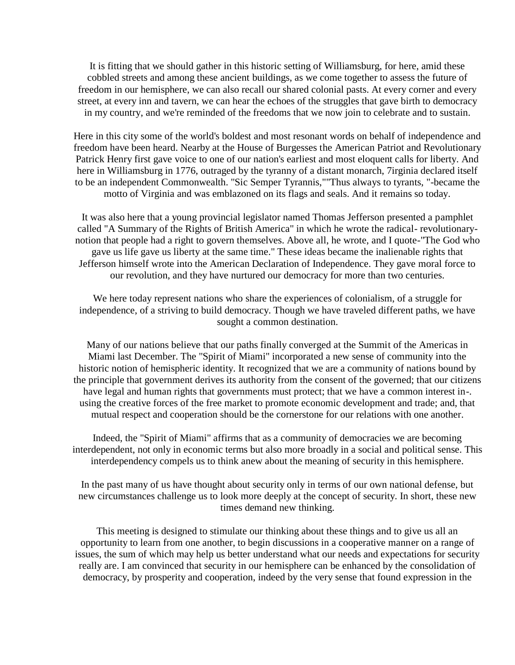It is fitting that we should gather in this historic setting of Williamsburg, for here, amid these cobbled streets and among these ancient buildings, as we come together to assess the future of freedom in our hemisphere, we can also recall our shared colonial pasts. At every corner and every street, at every inn and tavern, we can hear the echoes of the struggles that gave birth to democracy in my country, and we're reminded of the freedoms that we now join to celebrate and to sustain.

Here in this city some of the world's boldest and most resonant words on behalf of independence and freedom have been heard. Nearby at the House of Burgesses the American Patriot and Revolutionary Patrick Henry first gave voice to one of our nation's earliest and most eloquent calls for liberty. And here in Williamsburg in 1776, outraged by the tyranny of a distant monarch, 7irginia declared itself to be an independent Commonwealth. "Sic Semper Tyrannis,""Thus always to tyrants, "-became the motto of Virginia and was emblazoned on its flags and seals. And it remains so today.

It was also here that a young provincial legislator named Thomas Jefferson presented a pamphlet called "A Summary of the Rights of British America" in which he wrote the radical- revolutionarynotion that people had a right to govern themselves. Above all, he wrote, and I quote-"The God who gave us life gave us liberty at the same time." These ideas became the inalienable rights that Jefferson himself wrote into the American Declaration of Independence. They gave moral force to our revolution, and they have nurtured our democracy for more than two centuries.

We here today represent nations who share the experiences of colonialism, of a struggle for independence, of a striving to build democracy. Though we have traveled different paths, we have sought a common destination.

Many of our nations believe that our paths finally converged at the Summit of the Americas in Miami last December. The "Spirit of Miami" incorporated a new sense of community into the historic notion of hemispheric identity. It recognized that we are a community of nations bound by the principle that government derives its authority from the consent of the governed; that our citizens have legal and human rights that governments must protect; that we have a common interest in-. using the creative forces of the free market to promote economic development and trade; and, that mutual respect and cooperation should be the cornerstone for our relations with one another.

Indeed, the "Spirit of Miami" affirms that as a community of democracies we are becoming interdependent, not only in economic terms but also more broadly in a social and political sense. This interdependency compels us to think anew about the meaning of security in this hemisphere.

In the past many of us have thought about security only in terms of our own national defense, but new circumstances challenge us to look more deeply at the concept of security. In short, these new times demand new thinking.

This meeting is designed to stimulate our thinking about these things and to give us all an opportunity to learn from one another, to begin discussions in a cooperative manner on a range of issues, the sum of which may help us better understand what our needs and expectations for security really are. I am convinced that security in our hemisphere can be enhanced by the consolidation of democracy, by prosperity and cooperation, indeed by the very sense that found expression in the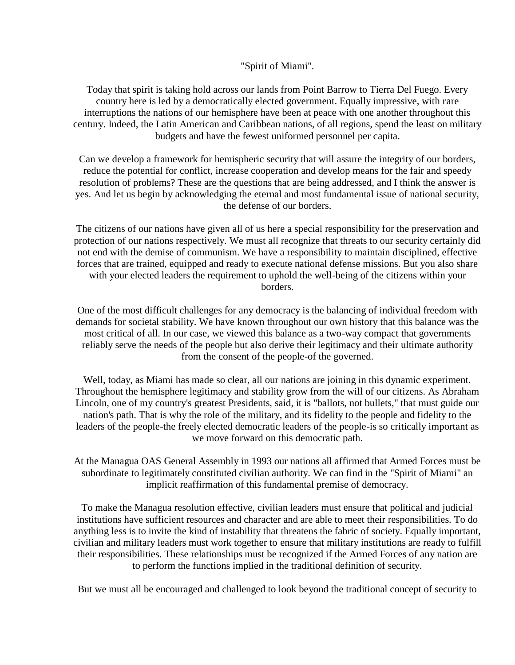#### "Spirit of Miami".

Today that spirit is taking hold across our lands from Point Barrow to Tierra Del Fuego. Every country here is led by a democratically elected government. Equally impressive, with rare interruptions the nations of our hemisphere have been at peace with one another throughout this century. Indeed, the Latin American and Caribbean nations, of all regions, spend the least on military budgets and have the fewest uniformed personnel per capita.

Can we develop a framework for hemispheric security that will assure the integrity of our borders, reduce the potential for conflict, increase cooperation and develop means for the fair and speedy resolution of problems? These are the questions that are being addressed, and I think the answer is yes. And let us begin by acknowledging the eternal and most fundamental issue of national security, the defense of our borders.

The citizens of our nations have given all of us here a special responsibility for the preservation and protection of our nations respectively. We must all recognize that threats to our security certainly did not end with the demise of communism. We have a responsibility to maintain disciplined, effective forces that are trained, equipped and ready to execute national defense missions. But you also share with your elected leaders the requirement to uphold the well-being of the citizens within your borders.

One of the most difficult challenges for any democracy is the balancing of individual freedom with demands for societal stability. We have known throughout our own history that this balance was the most critical of all. In our case, we viewed this balance as a two-way compact that governments reliably serve the needs of the people but also derive their legitimacy and their ultimate authority from the consent of the people-of the governed.

Well, today, as Miami has made so clear, all our nations are joining in this dynamic experiment. Throughout the hemisphere legitimacy and stability grow from the will of our citizens. As Abraham Lincoln, one of my country's greatest Presidents, said, it is "ballots, not bullets," that must guide our nation's path. That is why the role of the military, and its fidelity to the people and fidelity to the leaders of the people-the freely elected democratic leaders of the people-is so critically important as we move forward on this democratic path.

At the Managua OAS General Assembly in 1993 our nations all affirmed that Armed Forces must be subordinate to legitimately constituted civilian authority. We can find in the "Spirit of Miami" an implicit reaffirmation of this fundamental premise of democracy.

To make the Managua resolution effective, civilian leaders must ensure that political and judicial institutions have sufficient resources and character and are able to meet their responsibilities. To do anything less is to invite the kind of instability that threatens the fabric of society. Equally important, civilian and military leaders must work together to ensure that military institutions are ready to fulfill their responsibilities. These relationships must be recognized if the Armed Forces of any nation are to perform the functions implied in the traditional definition of security.

But we must all be encouraged and challenged to look beyond the traditional concept of security to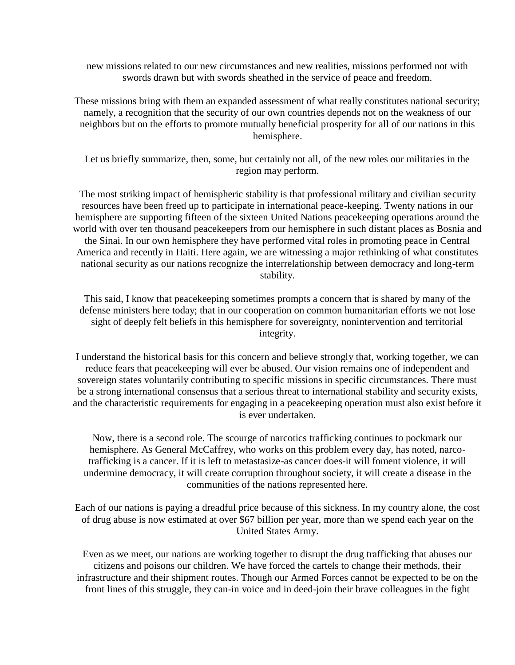new missions related to our new circumstances and new realities, missions performed not with swords drawn but with swords sheathed in the service of peace and freedom.

These missions bring with them an expanded assessment of what really constitutes national security; namely, a recognition that the security of our own countries depends not on the weakness of our neighbors but on the efforts to promote mutually beneficial prosperity for all of our nations in this hemisphere.

Let us briefly summarize, then, some, but certainly not all, of the new roles our militaries in the region may perform.

The most striking impact of hemispheric stability is that professional military and civilian security resources have been freed up to participate in international peace-keeping. Twenty nations in our hemisphere are supporting fifteen of the sixteen United Nations peacekeeping operations around the world with over ten thousand peacekeepers from our hemisphere in such distant places as Bosnia and the Sinai. In our own hemisphere they have performed vital roles in promoting peace in Central America and recently in Haiti. Here again, we are witnessing a major rethinking of what constitutes national security as our nations recognize the interrelationship between democracy and long-term stability.

This said, I know that peacekeeping sometimes prompts a concern that is shared by many of the defense ministers here today; that in our cooperation on common humanitarian efforts we not lose sight of deeply felt beliefs in this hemisphere for sovereignty, nonintervention and territorial integrity.

I understand the historical basis for this concern and believe strongly that, working together, we can reduce fears that peacekeeping will ever be abused. Our vision remains one of independent and sovereign states voluntarily contributing to specific missions in specific circumstances. There must be a strong international consensus that a serious threat to international stability and security exists, and the characteristic requirements for engaging in a peacekeeping operation must also exist before it is ever undertaken.

Now, there is a second role. The scourge of narcotics trafficking continues to pockmark our hemisphere. As General McCaffrey, who works on this problem every day, has noted, narcotrafficking is a cancer. If it is left to metastasize-as cancer does-it will foment violence, it will undermine democracy, it will create corruption throughout society, it will create a disease in the communities of the nations represented here.

Each of our nations is paying a dreadful price because of this sickness. In my country alone, the cost of drug abuse is now estimated at over \$67 billion per year, more than we spend each year on the United States Army.

Even as we meet, our nations are working together to disrupt the drug trafficking that abuses our citizens and poisons our children. We have forced the cartels to change their methods, their infrastructure and their shipment routes. Though our Armed Forces cannot be expected to be on the front lines of this struggle, they can-in voice and in deed-join their brave colleagues in the fight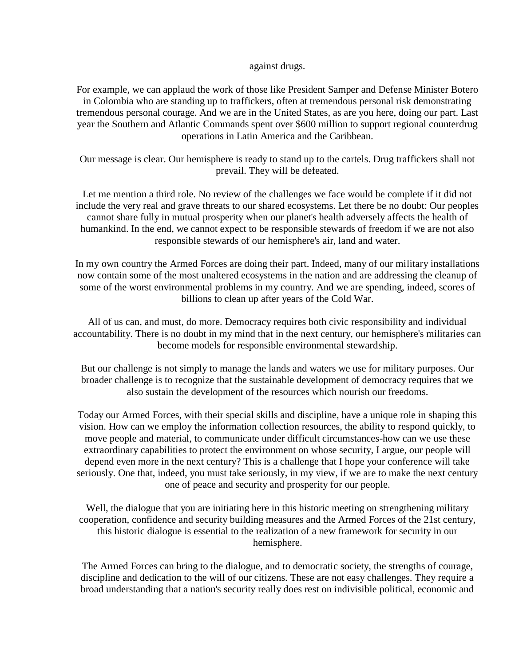#### against drugs.

For example, we can applaud the work of those like President Samper and Defense Minister Botero in Colombia who are standing up to traffickers, often at tremendous personal risk demonstrating tremendous personal courage. And we are in the United States, as are you here, doing our part. Last year the Southern and Atlantic Commands spent over \$600 million to support regional counterdrug operations in Latin America and the Caribbean.

Our message is clear. Our hemisphere is ready to stand up to the cartels. Drug traffickers shall not prevail. They will be defeated.

Let me mention a third role. No review of the challenges we face would be complete if it did not include the very real and grave threats to our shared ecosystems. Let there be no doubt: Our peoples cannot share fully in mutual prosperity when our planet's health adversely affects the health of humankind. In the end, we cannot expect to be responsible stewards of freedom if we are not also responsible stewards of our hemisphere's air, land and water.

In my own country the Armed Forces are doing their part. Indeed, many of our military installations now contain some of the most unaltered ecosystems in the nation and are addressing the cleanup of some of the worst environmental problems in my country. And we are spending, indeed, scores of billions to clean up after years of the Cold War.

All of us can, and must, do more. Democracy requires both civic responsibility and individual accountability. There is no doubt in my mind that in the next century, our hemisphere's militaries can become models for responsible environmental stewardship.

But our challenge is not simply to manage the lands and waters we use for military purposes. Our broader challenge is to recognize that the sustainable development of democracy requires that we also sustain the development of the resources which nourish our freedoms.

Today our Armed Forces, with their special skills and discipline, have a unique role in shaping this vision. How can we employ the information collection resources, the ability to respond quickly, to move people and material, to communicate under difficult circumstances-how can we use these extraordinary capabilities to protect the environment on whose security, I argue, our people will depend even more in the next century? This is a challenge that I hope your conference will take seriously. One that, indeed, you must take seriously, in my view, if we are to make the next century one of peace and security and prosperity for our people.

Well, the dialogue that you are initiating here in this historic meeting on strengthening military cooperation, confidence and security building measures and the Armed Forces of the 21st century, this historic dialogue is essential to the realization of a new framework for security in our hemisphere.

The Armed Forces can bring to the dialogue, and to democratic society, the strengths of courage, discipline and dedication to the will of our citizens. These are not easy challenges. They require a broad understanding that a nation's security really does rest on indivisible political, economic and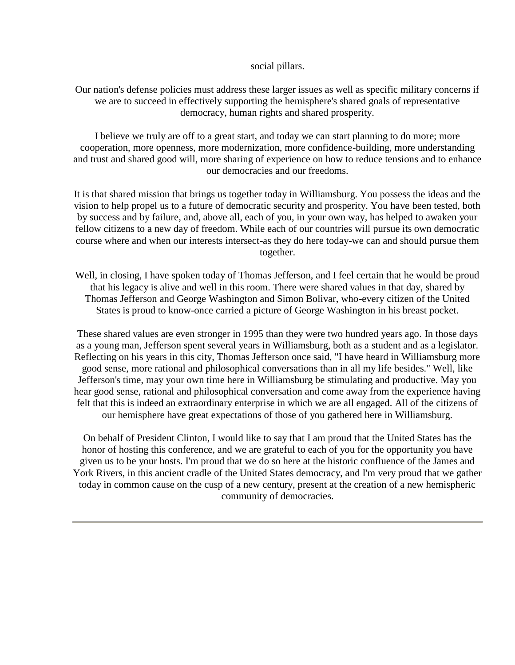#### social pillars.

Our nation's defense policies must address these larger issues as well as specific military concerns if we are to succeed in effectively supporting the hemisphere's shared goals of representative democracy, human rights and shared prosperity.

I believe we truly are off to a great start, and today we can start planning to do more; more cooperation, more openness, more modernization, more confidence-building, more understanding and trust and shared good will, more sharing of experience on how to reduce tensions and to enhance our democracies and our freedoms.

It is that shared mission that brings us together today in Williamsburg. You possess the ideas and the vision to help propel us to a future of democratic security and prosperity. You have been tested, both by success and by failure, and, above all, each of you, in your own way, has helped to awaken your fellow citizens to a new day of freedom. While each of our countries will pursue its own democratic course where and when our interests intersect-as they do here today-we can and should pursue them together.

Well, in closing, I have spoken today of Thomas Jefferson, and I feel certain that he would be proud that his legacy is alive and well in this room. There were shared values in that day, shared by Thomas Jefferson and George Washington and Simon Bolivar, who-every citizen of the United States is proud to know-once carried a picture of George Washington in his breast pocket.

These shared values are even stronger in 1995 than they were two hundred years ago. In those days as a young man, Jefferson spent several years in Williamsburg, both as a student and as a legislator. Reflecting on his years in this city, Thomas Jefferson once said, "I have heard in Williamsburg more good sense, more rational and philosophical conversations than in all my life besides." Well, like Jefferson's time, may your own time here in Williamsburg be stimulating and productive. May you hear good sense, rational and philosophical conversation and come away from the experience having felt that this is indeed an extraordinary enterprise in which we are all engaged. All of the citizens of our hemisphere have great expectations of those of you gathered here in Williamsburg.

On behalf of President Clinton, I would like to say that I am proud that the United States has the honor of hosting this conference, and we are grateful to each of you for the opportunity you have given us to be your hosts. I'm proud that we do so here at the historic confluence of the James and York Rivers, in this ancient cradle of the United States democracy, and I'm very proud that we gather today in common cause on the cusp of a new century, present at the creation of a new hemispheric community of democracies.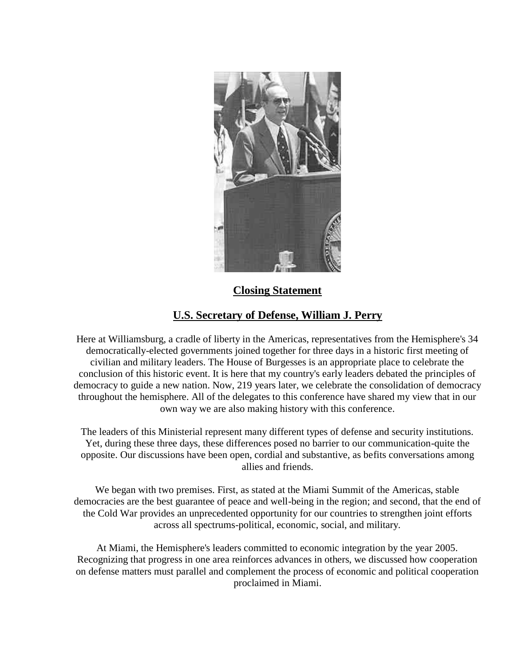

## **Closing Statement**

# **U.S. Secretary of Defense, William J. Perry**

Here at Williamsburg, a cradle of liberty in the Americas, representatives from the Hemisphere's 34 democratically-elected governments joined together for three days in a historic first meeting of civilian and military leaders. The House of Burgesses is an appropriate place to celebrate the conclusion of this historic event. It is here that my country's early leaders debated the principles of democracy to guide a new nation. Now, 219 years later, we celebrate the consolidation of democracy throughout the hemisphere. All of the delegates to this conference have shared my view that in our own way we are also making history with this conference.

The leaders of this Ministerial represent many different types of defense and security institutions. Yet, during these three days, these differences posed no barrier to our communication-quite the opposite. Our discussions have been open, cordial and substantive, as befits conversations among allies and friends.

We began with two premises. First, as stated at the Miami Summit of the Americas, stable democracies are the best guarantee of peace and well-being in the region; and second, that the end of the Cold War provides an unprecedented opportunity for our countries to strengthen joint efforts across all spectrums-political, economic, social, and military.

At Miami, the Hemisphere's leaders committed to economic integration by the year 2005. Recognizing that progress in one area reinforces advances in others, we discussed how cooperation on defense matters must parallel and complement the process of economic and political cooperation proclaimed in Miami.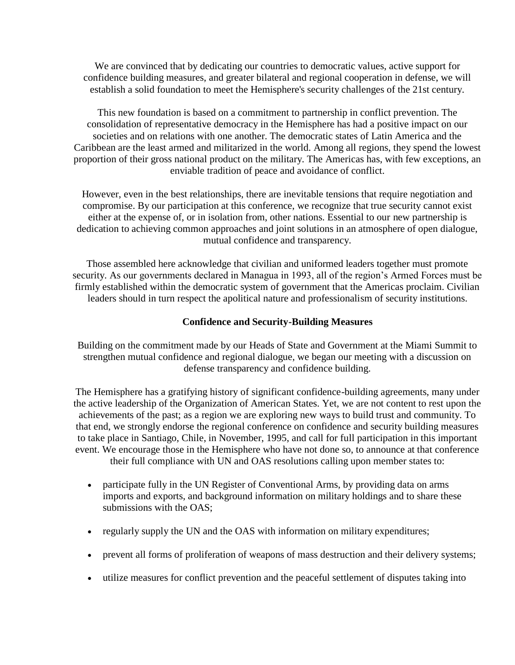We are convinced that by dedicating our countries to democratic values, active support for confidence building measures, and greater bilateral and regional cooperation in defense, we will establish a solid foundation to meet the Hemisphere's security challenges of the 21st century.

This new foundation is based on a commitment to partnership in conflict prevention. The consolidation of representative democracy in the Hemisphere has had a positive impact on our societies and on relations with one another. The democratic states of Latin America and the Caribbean are the least armed and militarized in the world. Among all regions, they spend the lowest proportion of their gross national product on the military. The Americas has, with few exceptions, an enviable tradition of peace and avoidance of conflict.

However, even in the best relationships, there are inevitable tensions that require negotiation and compromise. By our participation at this conference, we recognize that true security cannot exist either at the expense of, or in isolation from, other nations. Essential to our new partnership is dedication to achieving common approaches and joint solutions in an atmosphere of open dialogue, mutual confidence and transparency.

Those assembled here acknowledge that civilian and uniformed leaders together must promote security. As our governments declared in Managua in 1993, all of the region's Armed Forces must be firmly established within the democratic system of government that the Americas proclaim. Civilian leaders should in turn respect the apolitical nature and professionalism of security institutions.

#### **Confidence and Security-Building Measures**

Building on the commitment made by our Heads of State and Government at the Miami Summit to strengthen mutual confidence and regional dialogue, we began our meeting with a discussion on defense transparency and confidence building.

The Hemisphere has a gratifying history of significant confidence-building agreements, many under the active leadership of the Organization of American States. Yet, we are not content to rest upon the achievements of the past; as a region we are exploring new ways to build trust and community. To that end, we strongly endorse the regional conference on confidence and security building measures to take place in Santiago, Chile, in November, 1995, and call for full participation in this important event. We encourage those in the Hemisphere who have not done so, to announce at that conference their full compliance with UN and OAS resolutions calling upon member states to:

- participate fully in the UN Register of Conventional Arms, by providing data on arms imports and exports, and background information on military holdings and to share these submissions with the OAS;
- regularly supply the UN and the OAS with information on military expenditures;
- prevent all forms of proliferation of weapons of mass destruction and their delivery systems;
- utilize measures for conflict prevention and the peaceful settlement of disputes taking into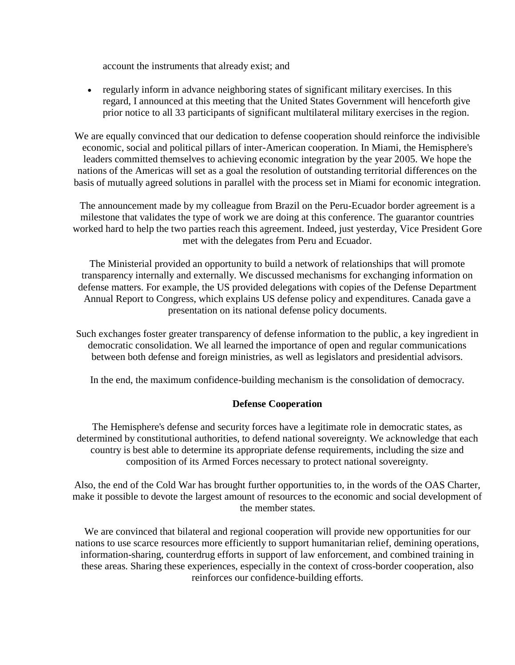account the instruments that already exist; and

 regularly inform in advance neighboring states of significant military exercises. In this regard, I announced at this meeting that the United States Government will henceforth give prior notice to all 33 participants of significant multilateral military exercises in the region.

We are equally convinced that our dedication to defense cooperation should reinforce the indivisible economic, social and political pillars of inter-American cooperation. In Miami, the Hemisphere's leaders committed themselves to achieving economic integration by the year 2005. We hope the nations of the Americas will set as a goal the resolution of outstanding territorial differences on the basis of mutually agreed solutions in parallel with the process set in Miami for economic integration.

The announcement made by my colleague from Brazil on the Peru-Ecuador border agreement is a milestone that validates the type of work we are doing at this conference. The guarantor countries worked hard to help the two parties reach this agreement. Indeed, just yesterday, Vice President Gore met with the delegates from Peru and Ecuador.

The Ministerial provided an opportunity to build a network of relationships that will promote transparency internally and externally. We discussed mechanisms for exchanging information on defense matters. For example, the US provided delegations with copies of the Defense Department Annual Report to Congress, which explains US defense policy and expenditures. Canada gave a presentation on its national defense policy documents.

Such exchanges foster greater transparency of defense information to the public, a key ingredient in democratic consolidation. We all learned the importance of open and regular communications between both defense and foreign ministries, as well as legislators and presidential advisors.

In the end, the maximum confidence-building mechanism is the consolidation of democracy.

### **Defense Cooperation**

The Hemisphere's defense and security forces have a legitimate role in democratic states, as determined by constitutional authorities, to defend national sovereignty. We acknowledge that each country is best able to determine its appropriate defense requirements, including the size and composition of its Armed Forces necessary to protect national sovereignty.

Also, the end of the Cold War has brought further opportunities to, in the words of the OAS Charter, make it possible to devote the largest amount of resources to the economic and social development of the member states.

We are convinced that bilateral and regional cooperation will provide new opportunities for our nations to use scarce resources more efficiently to support humanitarian relief, demining operations, information-sharing, counterdrug efforts in support of law enforcement, and combined training in these areas. Sharing these experiences, especially in the context of cross-border cooperation, also reinforces our confidence-building efforts.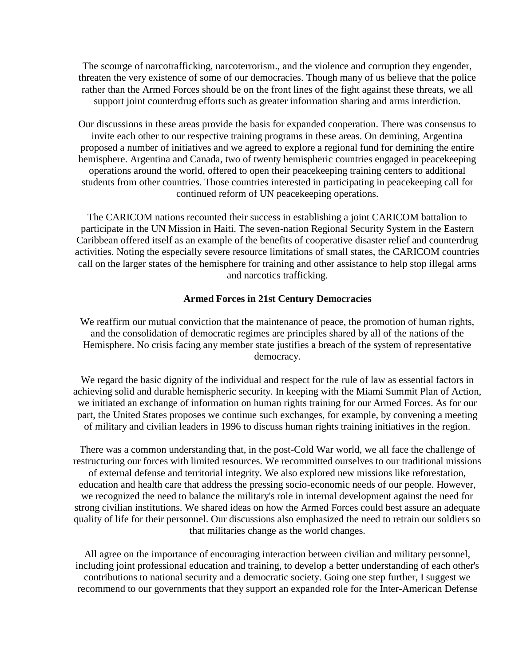The scourge of narcotrafficking, narcoterrorism., and the violence and corruption they engender, threaten the very existence of some of our democracies. Though many of us believe that the police rather than the Armed Forces should be on the front lines of the fight against these threats, we all support joint counterdrug efforts such as greater information sharing and arms interdiction.

Our discussions in these areas provide the basis for expanded cooperation. There was consensus to invite each other to our respective training programs in these areas. On demining, Argentina proposed a number of initiatives and we agreed to explore a regional fund for demining the entire hemisphere. Argentina and Canada, two of twenty hemispheric countries engaged in peacekeeping operations around the world, offered to open their peacekeeping training centers to additional students from other countries. Those countries interested in participating in peacekeeping call for continued reform of UN peacekeeping operations.

The CARICOM nations recounted their success in establishing a joint CARICOM battalion to participate in the UN Mission in Haiti. The seven-nation Regional Security System in the Eastern Caribbean offered itself as an example of the benefits of cooperative disaster relief and counterdrug activities. Noting the especially severe resource limitations of small states, the CARICOM countries call on the larger states of the hemisphere for training and other assistance to help stop illegal arms and narcotics trafficking.

#### **Armed Forces in 21st Century Democracies**

We reaffirm our mutual conviction that the maintenance of peace, the promotion of human rights, and the consolidation of democratic regimes are principles shared by all of the nations of the Hemisphere. No crisis facing any member state justifies a breach of the system of representative democracy.

We regard the basic dignity of the individual and respect for the rule of law as essential factors in achieving solid and durable hemispheric security. In keeping with the Miami Summit Plan of Action, we initiated an exchange of information on human rights training for our Armed Forces. As for our part, the United States proposes we continue such exchanges, for example, by convening a meeting of military and civilian leaders in 1996 to discuss human rights training initiatives in the region.

There was a common understanding that, in the post-Cold War world, we all face the challenge of restructuring our forces with limited resources. We recommitted ourselves to our traditional missions of external defense and territorial integrity. We also explored new missions like reforestation, education and health care that address the pressing socio-economic needs of our people. However, we recognized the need to balance the military's role in internal development against the need for strong civilian institutions. We shared ideas on how the Armed Forces could best assure an adequate quality of life for their personnel. Our discussions also emphasized the need to retrain our soldiers so that militaries change as the world changes.

All agree on the importance of encouraging interaction between civilian and military personnel, including joint professional education and training, to develop a better understanding of each other's contributions to national security and a democratic society. Going one step further, I suggest we recommend to our governments that they support an expanded role for the Inter-American Defense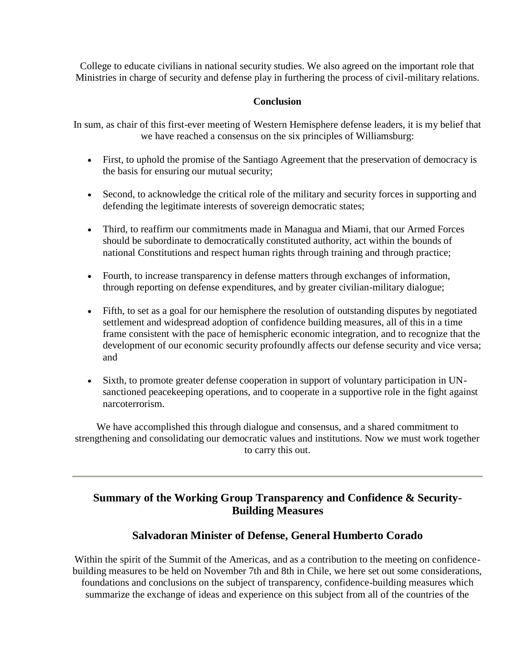College to educate civilians in national security studies. We also agreed on the important role that Ministries in charge of security and defense play in furthering the process of civil-military relations.

### **Conclusion**

In sum, as chair of this first-ever meeting of Western Hemisphere defense leaders, it is my belief that we have reached a consensus on the six principles of Williamsburg:

- First, to uphold the promise of the Santiago Agreement that the preservation of democracy is the basis for ensuring our mutual security;
- Second, to acknowledge the critical role of the military and security forces in supporting and defending the legitimate interests of sovereign democratic states;
- Third, to reaffirm our commitments made in Managua and Miami, that our Armed Forces should be subordinate to democratically constituted authority, act within the bounds of national Constitutions and respect human rights through training and through practice;
- Fourth, to increase transparency in defense matters through exchanges of information, through reporting on defense expenditures, and by greater civilian-military dialogue;
- Fifth, to set as a goal for our hemisphere the resolution of outstanding disputes by negotiated settlement and widespread adoption of confidence building measures, all of this in a time frame consistent with the pace of hemispheric economic integration, and to recognize that the development of our economic security profoundly affects our defense security and vice versa; and
- Sixth, to promote greater defense cooperation in support of voluntary participation in UNsanctioned peacekeeping operations, and to cooperate in a supportive role in the fight against narcoterrorism.

We have accomplished this through dialogue and consensus, and a shared commitment to strengthening and consolidating our democratic values and institutions. Now we must work together to carry this out.

## **Summary of the Working Group Transparency and Confidence & Security-Building Measures**

## **Salvadoran Minister of Defense, General Humberto Corado**

Within the spirit of the Summit of the Americas, and as a contribution to the meeting on confidencebuilding measures to be held on November 7th and 8th in Chile, we here set out some considerations, foundations and conclusions on the subject of transparency, confidence-building measures which summarize the exchange of ideas and experience on this subject from all of the countries of the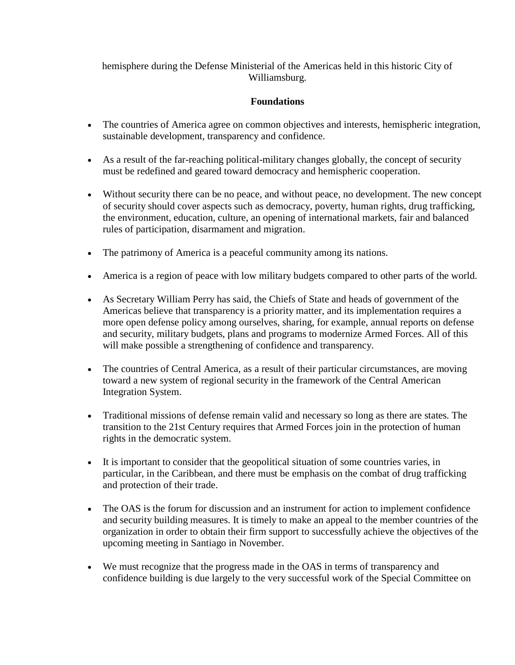hemisphere during the Defense Ministerial of the Americas held in this historic City of Williamsburg.

### **Foundations**

- The countries of America agree on common objectives and interests, hemispheric integration, sustainable development, transparency and confidence.
- As a result of the far-reaching political-military changes globally, the concept of security must be redefined and geared toward democracy and hemispheric cooperation.
- Without security there can be no peace, and without peace, no development. The new concept of security should cover aspects such as democracy, poverty, human rights, drug trafficking, the environment, education, culture, an opening of international markets, fair and balanced rules of participation, disarmament and migration.
- The patrimony of America is a peaceful community among its nations.
- America is a region of peace with low military budgets compared to other parts of the world.
- As Secretary William Perry has said, the Chiefs of State and heads of government of the Americas believe that transparency is a priority matter, and its implementation requires a more open defense policy among ourselves, sharing, for example, annual reports on defense and security, military budgets, plans and programs to modernize Armed Forces. All of this will make possible a strengthening of confidence and transparency.
- The countries of Central America, as a result of their particular circumstances, are moving toward a new system of regional security in the framework of the Central American Integration System.
- Traditional missions of defense remain valid and necessary so long as there are states. The transition to the 21st Century requires that Armed Forces join in the protection of human rights in the democratic system.
- It is important to consider that the geopolitical situation of some countries varies, in particular, in the Caribbean, and there must be emphasis on the combat of drug trafficking and protection of their trade.
- The OAS is the forum for discussion and an instrument for action to implement confidence and security building measures. It is timely to make an appeal to the member countries of the organization in order to obtain their firm support to successfully achieve the objectives of the upcoming meeting in Santiago in November.
- We must recognize that the progress made in the OAS in terms of transparency and confidence building is due largely to the very successful work of the Special Committee on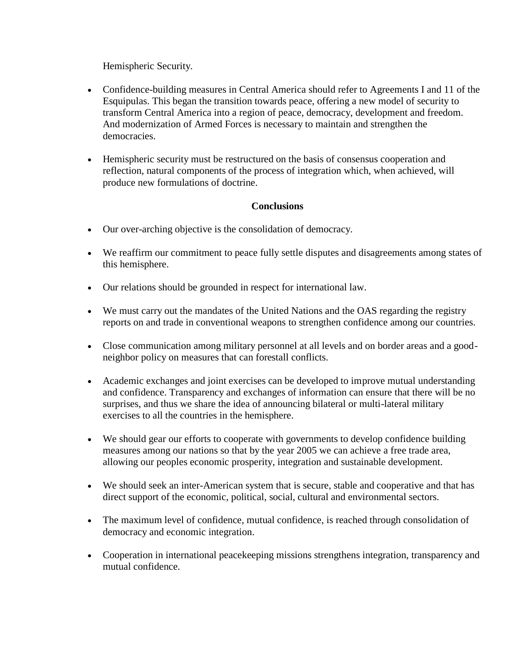Hemispheric Security.

- Confidence-building measures in Central America should refer to Agreements I and 11 of the Esquipulas. This began the transition towards peace, offering a new model of security to transform Central America into a region of peace, democracy, development and freedom. And modernization of Armed Forces is necessary to maintain and strengthen the democracies.
- Hemispheric security must be restructured on the basis of consensus cooperation and reflection, natural components of the process of integration which, when achieved, will produce new formulations of doctrine.

### **Conclusions**

- Our over-arching objective is the consolidation of democracy.
- We reaffirm our commitment to peace fully settle disputes and disagreements among states of this hemisphere.
- Our relations should be grounded in respect for international law.
- We must carry out the mandates of the United Nations and the OAS regarding the registry reports on and trade in conventional weapons to strengthen confidence among our countries.
- Close communication among military personnel at all levels and on border areas and a goodneighbor policy on measures that can forestall conflicts.
- Academic exchanges and joint exercises can be developed to improve mutual understanding and confidence. Transparency and exchanges of information can ensure that there will be no surprises, and thus we share the idea of announcing bilateral or multi-lateral military exercises to all the countries in the hemisphere.
- We should gear our efforts to cooperate with governments to develop confidence building measures among our nations so that by the year 2005 we can achieve a free trade area, allowing our peoples economic prosperity, integration and sustainable development.
- We should seek an inter-American system that is secure, stable and cooperative and that has direct support of the economic, political, social, cultural and environmental sectors.
- The maximum level of confidence, mutual confidence, is reached through consolidation of democracy and economic integration.
- Cooperation in international peacekeeping missions strengthens integration, transparency and mutual confidence.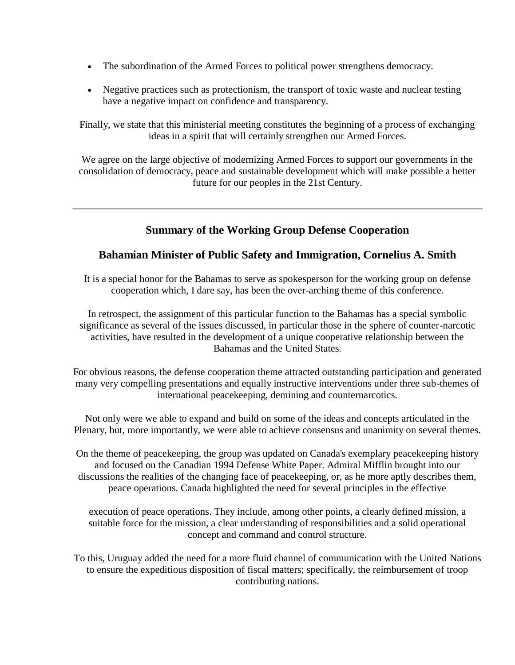- The subordination of the Armed Forces to political power strengthens democracy.
- Negative practices such as protectionism, the transport of toxic waste and nuclear testing have a negative impact on confidence and transparency.

Finally, we state that this ministerial meeting constitutes the beginning of a process of exchanging ideas in a spirit that will certainly strengthen our Armed Forces.

We agree on the large objective of modernizing Armed Forces to support our governments in the consolidation of democracy, peace and sustainable development which will make possible a better future for our peoples in the 21st Century.

## **Summary of the Working Group Defense Cooperation**

## **Bahamian Minister of Public Safety and Immigration, Cornelius A. Smith**

It is a special honor for the Bahamas to serve as spokesperson for the working group on defense cooperation which, I dare say, has been the over-arching theme of this conference.

In retrospect, the assignment of this particular function to the Bahamas has a special symbolic significance as several of the issues discussed, in particular those in the sphere of counter-narcotic activities, have resulted in the development of a unique cooperative relationship between the Bahamas and the United States.

For obvious reasons, the defense cooperation theme attracted outstanding participation and generated many very compelling presentations and equally instructive interventions under three sub-themes of international peacekeeping, demining and counternarcotics.

Not only were we able to expand and build on some of the ideas and concepts articulated in the Plenary, but, more importantly, we were able to achieve consensus and unanimity on several themes.

On the theme of peacekeeping, the group was updated on Canada's exemplary peacekeeping history and focused on the Canadian 1994 Defense White Paper. Admiral Mifflin brought into our discussions the realities of the changing face of peacekeeping, or, as he more aptly describes them, peace operations. Canada highlighted the need for several principles in the effective

execution of peace operations. They include, among other points, a clearly defined mission, a suitable force for the mission, a clear understanding of responsibilities and a solid operational concept and command and control structure.

To this, Uruguay added the need for a more fluid channel of communication with the United Nations to ensure the expeditious disposition of fiscal matters; specifically, the reimbursement of troop contributing nations.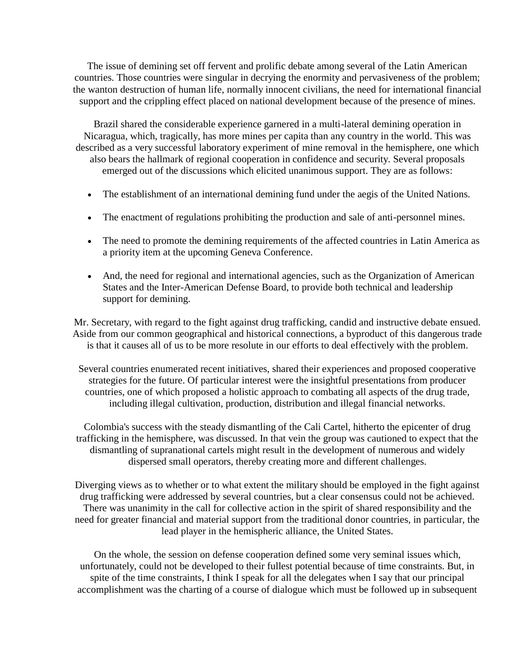The issue of demining set off fervent and prolific debate among several of the Latin American countries. Those countries were singular in decrying the enormity and pervasiveness of the problem; the wanton destruction of human life, normally innocent civilians, the need for international financial support and the crippling effect placed on national development because of the presence of mines.

Brazil shared the considerable experience garnered in a multi-lateral demining operation in Nicaragua, which, tragically, has more mines per capita than any country in the world. This was described as a very successful laboratory experiment of mine removal in the hemisphere, one which also bears the hallmark of regional cooperation in confidence and security. Several proposals emerged out of the discussions which elicited unanimous support. They are as follows:

- The establishment of an international demining fund under the aegis of the United Nations.
- The enactment of regulations prohibiting the production and sale of anti-personnel mines.
- The need to promote the demining requirements of the affected countries in Latin America as a priority item at the upcoming Geneva Conference.
- And, the need for regional and international agencies, such as the Organization of American States and the Inter-American Defense Board, to provide both technical and leadership support for demining.

Mr. Secretary, with regard to the fight against drug trafficking, candid and instructive debate ensued. Aside from our common geographical and historical connections, a byproduct of this dangerous trade is that it causes all of us to be more resolute in our efforts to deal effectively with the problem.

Several countries enumerated recent initiatives, shared their experiences and proposed cooperative strategies for the future. Of particular interest were the insightful presentations from producer countries, one of which proposed a holistic approach to combating all aspects of the drug trade, including illegal cultivation, production, distribution and illegal financial networks.

Colombia's success with the steady dismantling of the Cali Cartel, hitherto the epicenter of drug trafficking in the hemisphere, was discussed. In that vein the group was cautioned to expect that the dismantling of supranational cartels might result in the development of numerous and widely dispersed small operators, thereby creating more and different challenges.

Diverging views as to whether or to what extent the military should be employed in the fight against drug trafficking were addressed by several countries, but a clear consensus could not be achieved. There was unanimity in the call for collective action in the spirit of shared responsibility and the need for greater financial and material support from the traditional donor countries, in particular, the lead player in the hemispheric alliance, the United States.

On the whole, the session on defense cooperation defined some very seminal issues which, unfortunately, could not be developed to their fullest potential because of time constraints. But, in spite of the time constraints, I think I speak for all the delegates when I say that our principal accomplishment was the charting of a course of dialogue which must be followed up in subsequent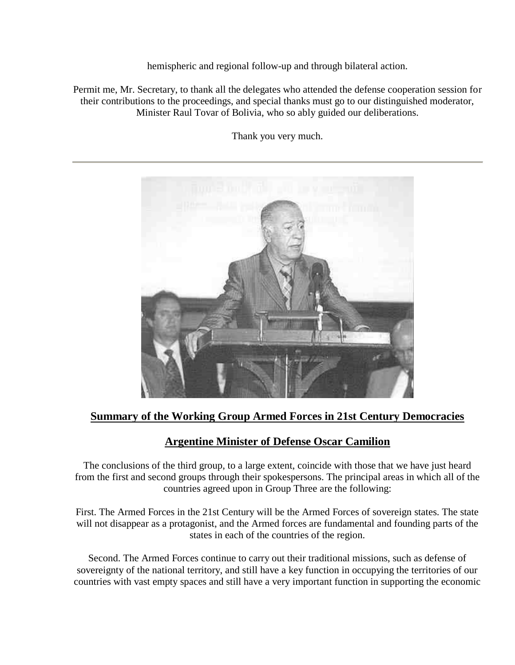hemispheric and regional follow-up and through bilateral action.

Permit me, Mr. Secretary, to thank all the delegates who attended the defense cooperation session for their contributions to the proceedings, and special thanks must go to our distinguished moderator, Minister Raul Tovar of Bolivia, who so ably guided our deliberations.

Thank you very much.



## **Summary of the Working Group Armed Forces in 21st Century Democracies**

## **Argentine Minister of Defense Oscar Camilion**

The conclusions of the third group, to a large extent, coincide with those that we have just heard from the first and second groups through their spokespersons. The principal areas in which all of the countries agreed upon in Group Three are the following:

First. The Armed Forces in the 21st Century will be the Armed Forces of sovereign states. The state will not disappear as a protagonist, and the Armed forces are fundamental and founding parts of the states in each of the countries of the region.

Second. The Armed Forces continue to carry out their traditional missions, such as defense of sovereignty of the national territory, and still have a key function in occupying the territories of our countries with vast empty spaces and still have a very important function in supporting the economic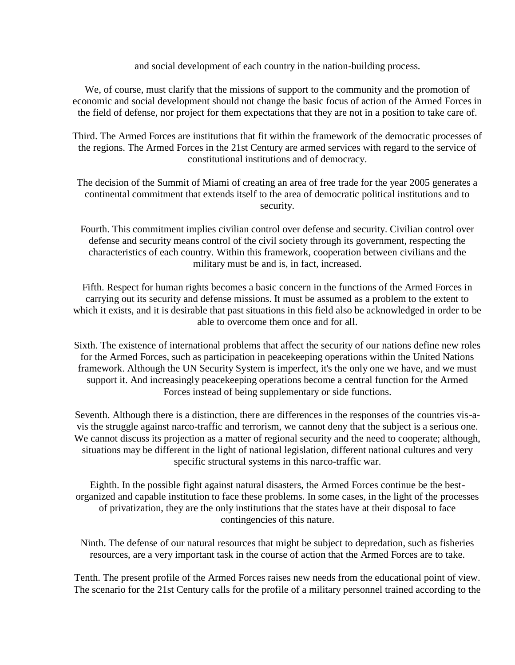and social development of each country in the nation-building process.

We, of course, must clarify that the missions of support to the community and the promotion of economic and social development should not change the basic focus of action of the Armed Forces in the field of defense, nor project for them expectations that they are not in a position to take care of.

Third. The Armed Forces are institutions that fit within the framework of the democratic processes of the regions. The Armed Forces in the 21st Century are armed services with regard to the service of constitutional institutions and of democracy.

The decision of the Summit of Miami of creating an area of free trade for the year 2005 generates a continental commitment that extends itself to the area of democratic political institutions and to security.

Fourth. This commitment implies civilian control over defense and security. Civilian control over defense and security means control of the civil society through its government, respecting the characteristics of each country. Within this framework, cooperation between civilians and the military must be and is, in fact, increased.

Fifth. Respect for human rights becomes a basic concern in the functions of the Armed Forces in carrying out its security and defense missions. It must be assumed as a problem to the extent to which it exists, and it is desirable that past situations in this field also be acknowledged in order to be able to overcome them once and for all.

Sixth. The existence of international problems that affect the security of our nations define new roles for the Armed Forces, such as participation in peacekeeping operations within the United Nations framework. Although the UN Security System is imperfect, it's the only one we have, and we must support it. And increasingly peacekeeping operations become a central function for the Armed Forces instead of being supplementary or side functions.

Seventh. Although there is a distinction, there are differences in the responses of the countries vis-avis the struggle against narco-traffic and terrorism, we cannot deny that the subject is a serious one. We cannot discuss its projection as a matter of regional security and the need to cooperate; although, situations may be different in the light of national legislation, different national cultures and very specific structural systems in this narco-traffic war.

Eighth. In the possible fight against natural disasters, the Armed Forces continue be the bestorganized and capable institution to face these problems. In some cases, in the light of the processes of privatization, they are the only institutions that the states have at their disposal to face contingencies of this nature.

Ninth. The defense of our natural resources that might be subject to depredation, such as fisheries resources, are a very important task in the course of action that the Armed Forces are to take.

Tenth. The present profile of the Armed Forces raises new needs from the educational point of view. The scenario for the 21st Century calls for the profile of a military personnel trained according to the